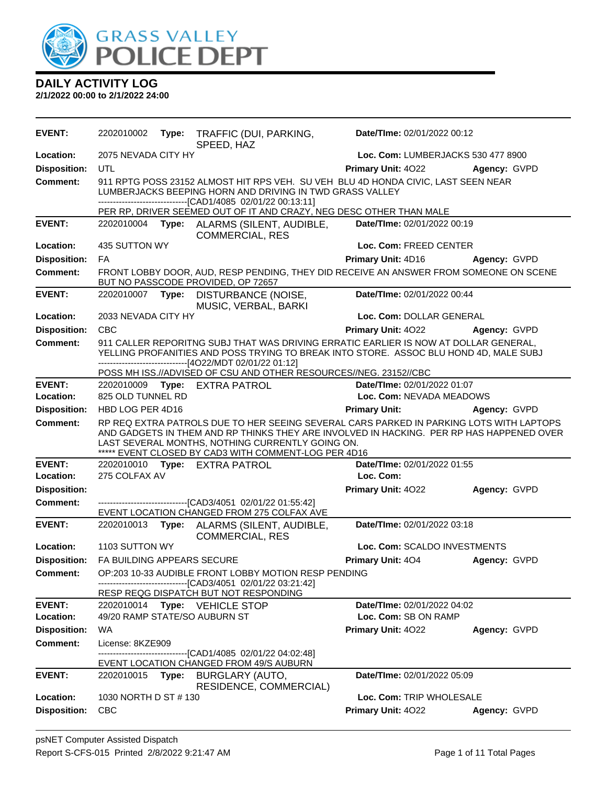

| <b>EVENT:</b>       | 2202010002                                                                                                                                                                                                    | Type: | TRAFFIC (DUI, PARKING,<br>SPEED, HAZ                                                                                                                                                                                                                                                            | Date/TIme: 02/01/2022 00:12        |              |
|---------------------|---------------------------------------------------------------------------------------------------------------------------------------------------------------------------------------------------------------|-------|-------------------------------------------------------------------------------------------------------------------------------------------------------------------------------------------------------------------------------------------------------------------------------------------------|------------------------------------|--------------|
| Location:           | 2075 NEVADA CITY HY                                                                                                                                                                                           |       |                                                                                                                                                                                                                                                                                                 | Loc. Com: LUMBERJACKS 530 477 8900 |              |
| <b>Disposition:</b> | <b>UTL</b>                                                                                                                                                                                                    |       |                                                                                                                                                                                                                                                                                                 | <b>Primary Unit: 4022</b>          | Agency: GVPD |
| Comment:            | 911 RPTG POSS 23152 ALMOST HIT RPS VEH. SU VEH BLU 4D HONDA CIVIC, LAST SEEN NEAR<br>LUMBERJACKS BEEPING HORN AND DRIVING IN TWD GRASS VALLEY<br>-------------------------------[CAD1/4085 02/01/22 00:13:11] |       |                                                                                                                                                                                                                                                                                                 |                                    |              |
|                     |                                                                                                                                                                                                               |       | PER RP, DRIVER SEEMED OUT OF IT AND CRAZY, NEG DESC OTHER THAN MALE                                                                                                                                                                                                                             |                                    |              |
| <b>EVENT:</b>       |                                                                                                                                                                                                               |       | 2202010004 Type: ALARMS (SILENT, AUDIBLE,<br><b>COMMERCIAL, RES</b>                                                                                                                                                                                                                             | Date/TIme: 02/01/2022 00:19        |              |
| Location:           | 435 SUTTON WY                                                                                                                                                                                                 |       |                                                                                                                                                                                                                                                                                                 | Loc. Com: FREED CENTER             |              |
| <b>Disposition:</b> | FA                                                                                                                                                                                                            |       |                                                                                                                                                                                                                                                                                                 | Primary Unit: 4D16                 | Agency: GVPD |
| <b>Comment:</b>     |                                                                                                                                                                                                               |       | FRONT LOBBY DOOR, AUD, RESP PENDING, THEY DID RECEIVE AN ANSWER FROM SOMEONE ON SCENE<br>BUT NO PASSCODE PROVIDED, OP 72657                                                                                                                                                                     |                                    |              |
| <b>EVENT:</b>       |                                                                                                                                                                                                               |       | 2202010007 Type: DISTURBANCE (NOISE,<br>MUSIC, VERBAL, BARKI                                                                                                                                                                                                                                    | Date/TIme: 02/01/2022 00:44        |              |
| Location:           | 2033 NEVADA CITY HY                                                                                                                                                                                           |       |                                                                                                                                                                                                                                                                                                 | Loc. Com: DOLLAR GENERAL           |              |
| <b>Disposition:</b> | <b>CBC</b>                                                                                                                                                                                                    |       |                                                                                                                                                                                                                                                                                                 | Primary Unit: 4022                 | Agency: GVPD |
| <b>Comment:</b>     |                                                                                                                                                                                                               |       | 911 CALLER REPORITNG SUBJ THAT WAS DRIVING ERRATIC EARLIER IS NOW AT DOLLAR GENERAL,<br>YELLING PROFANITIES AND POSS TRYING TO BREAK INTO STORE. ASSOC BLU HOND 4D, MALE SUBJ<br>------------------------------[4O22/MDT 02/01/22 01:12]                                                        |                                    |              |
| <b>EVENT:</b>       |                                                                                                                                                                                                               |       | POSS MH ISS.//ADVISED OF CSU AND OTHER RESOURCES//NEG. 23152//CBC<br>2202010009 Type: EXTRA PATROL                                                                                                                                                                                              | Date/TIme: 02/01/2022 01:07        |              |
| Location:           | 825 OLD TUNNEL RD                                                                                                                                                                                             |       |                                                                                                                                                                                                                                                                                                 | Loc. Com: NEVADA MEADOWS           |              |
| <b>Disposition:</b> | HBD LOG PER 4D16                                                                                                                                                                                              |       |                                                                                                                                                                                                                                                                                                 | <b>Primary Unit:</b>               | Agency: GVPD |
| <b>Comment:</b>     |                                                                                                                                                                                                               |       | RP REQ EXTRA PATROLS DUE TO HER SEEING SEVERAL CARS PARKED IN PARKING LOTS WITH LAPTOPS<br>AND GADGETS IN THEM AND RP THINKS THEY ARE INVOLVED IN HACKING. PER RP HAS HAPPENED OVER<br>LAST SEVERAL MONTHS, NOTHING CURRENTLY GOING ON.<br>***** EVENT CLOSED BY CAD3 WITH COMMENT-LOG PER 4D16 |                                    |              |
| <b>EVENT:</b>       | 2202010010                                                                                                                                                                                                    |       | Type: EXTRA PATROL                                                                                                                                                                                                                                                                              | Date/TIme: 02/01/2022 01:55        |              |
| Location:           | 275 COLFAX AV                                                                                                                                                                                                 |       |                                                                                                                                                                                                                                                                                                 | Loc. Com:                          |              |
| <b>Disposition:</b> |                                                                                                                                                                                                               |       |                                                                                                                                                                                                                                                                                                 | <b>Primary Unit: 4022</b>          | Agency: GVPD |
| <b>Comment:</b>     |                                                                                                                                                                                                               |       | -------------------------------[CAD3/4051 02/01/22 01:55:42]<br>EVENT LOCATION CHANGED FROM 275 COLFAX AVE                                                                                                                                                                                      |                                    |              |
| <b>EVENT:</b>       | 2202010013                                                                                                                                                                                                    |       | Type: ALARMS (SILENT, AUDIBLE,<br><b>COMMERCIAL, RES</b>                                                                                                                                                                                                                                        | Date/TIme: 02/01/2022 03:18        |              |
| Location:           | 1103 SUTTON WY                                                                                                                                                                                                |       |                                                                                                                                                                                                                                                                                                 | Loc. Com: SCALDO INVESTMENTS       |              |
| <b>Disposition:</b> | FA BUILDING APPEARS SECURE                                                                                                                                                                                    |       |                                                                                                                                                                                                                                                                                                 | <b>Primary Unit: 404</b>           | Agency: GVPD |
| <b>Comment:</b>     | ----------------------------                                                                                                                                                                                  |       | OP:203 10-33 AUDIBLE FRONT LOBBY MOTION RESP PENDING<br>---[CAD3/4051 02/01/22 03:21:42]                                                                                                                                                                                                        |                                    |              |
| <b>EVENT:</b>       | 2202010014                                                                                                                                                                                                    |       | RESP REQG DISPATCH BUT NOT RESPONDING<br>Type: VEHICLE STOP                                                                                                                                                                                                                                     | Date/TIme: 02/01/2022 04:02        |              |
| Location:           |                                                                                                                                                                                                               |       | 49/20 RAMP STATE/SO AUBURN ST                                                                                                                                                                                                                                                                   | Loc. Com: SB ON RAMP               |              |
| <b>Disposition:</b> | WA                                                                                                                                                                                                            |       |                                                                                                                                                                                                                                                                                                 | Primary Unit: 4022                 | Agency: GVPD |
| <b>Comment:</b>     | License: 8KZE909                                                                                                                                                                                              |       |                                                                                                                                                                                                                                                                                                 |                                    |              |
|                     |                                                                                                                                                                                                               |       | ----------------------------[CAD1/4085_02/01/22_04:02:48]                                                                                                                                                                                                                                       |                                    |              |
|                     |                                                                                                                                                                                                               |       | EVENT LOCATION CHANGED FROM 49/S AUBURN                                                                                                                                                                                                                                                         |                                    |              |
| <b>EVENT:</b>       |                                                                                                                                                                                                               |       | 2202010015 Type: BURGLARY (AUTO,<br>RESIDENCE, COMMERCIAL)                                                                                                                                                                                                                                      | Date/TIme: 02/01/2022 05:09        |              |
| Location:           | 1030 NORTH D ST # 130                                                                                                                                                                                         |       |                                                                                                                                                                                                                                                                                                 | Loc. Com: TRIP WHOLESALE           |              |
| <b>Disposition:</b> | <b>CBC</b>                                                                                                                                                                                                    |       |                                                                                                                                                                                                                                                                                                 | Primary Unit: 4022                 | Agency: GVPD |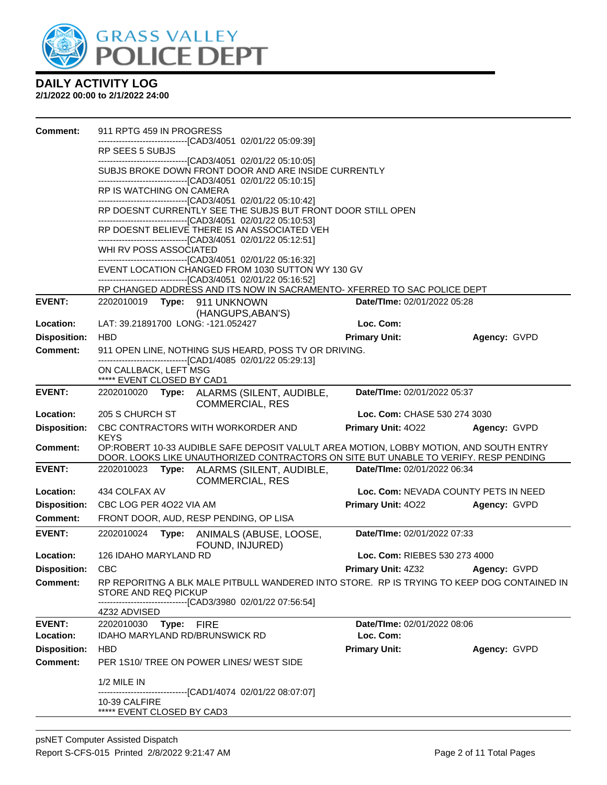

| <b>Comment:</b>            | 911 RPTG 459 IN PROGRESS                                |                                                                                                                                                                                       |                                          |              |
|----------------------------|---------------------------------------------------------|---------------------------------------------------------------------------------------------------------------------------------------------------------------------------------------|------------------------------------------|--------------|
|                            | RP SEES 5 SUBJS                                         | --------------------------[CAD3/4051_02/01/22 05:09:39]                                                                                                                               |                                          |              |
|                            |                                                         | --------------------------------[CAD3/4051 02/01/22 05:10:05]<br>SUBJS BROKE DOWN FRONT DOOR AND ARE INSIDE CURRENTLY<br>-------------------------------[CAD3/4051 02/01/22 05:10:15] |                                          |              |
|                            | RP IS WATCHING ON CAMERA                                |                                                                                                                                                                                       |                                          |              |
|                            |                                                         | -------------------------------[CAD3/4051 02/01/22 05:10:42]<br>RP DOESNT CURRENTLY SEE THE SUBJS BUT FRONT DOOR STILL OPEN                                                           |                                          |              |
|                            |                                                         | -------------------------------[CAD3/4051 02/01/22 05:10:53]<br>RP DOESNT BELIEVE THERE IS AN ASSOCIATED VEH                                                                          |                                          |              |
|                            | WHI RV POSS ASSOCIATED                                  | -------------------------------[CAD3/4051 02/01/22 05:12:51]                                                                                                                          |                                          |              |
|                            |                                                         | -------------------------[CAD3/4051_02/01/22 05:16:32]<br>EVENT LOCATION CHANGED FROM 1030 SUTTON WY 130 GV<br>------------------------------[CAD3/4051 02/01/22 05:16:52]            |                                          |              |
|                            |                                                         | RP CHANGED ADDRESS AND ITS NOW IN SACRAMENTO- XFERRED TO SAC POLICE DEPT                                                                                                              |                                          |              |
| <b>EVENT:</b>              | 2202010019 Type: 911 UNKNOWN                            | (HANGUPS, ABAN'S)                                                                                                                                                                     | Date/TIme: 02/01/2022 05:28              |              |
| Location:                  | LAT: 39.21891700 LONG: -121.052427                      |                                                                                                                                                                                       | Loc. Com:                                |              |
| <b>Disposition:</b>        | <b>HBD</b>                                              |                                                                                                                                                                                       | <b>Primary Unit:</b>                     | Agency: GVPD |
| Comment:                   |                                                         | 911 OPEN LINE, NOTHING SUS HEARD, POSS TV OR DRIVING.<br>-------------------------------[CAD1/4085 02/01/22 05:29:13]                                                                 |                                          |              |
|                            | ON CALLBACK, LEFT MSG<br>***** EVENT CLOSED BY CAD1     |                                                                                                                                                                                       |                                          |              |
| <b>EVENT:</b>              |                                                         | 2202010020 Type: ALARMS (SILENT, AUDIBLE,<br><b>COMMERCIAL, RES</b>                                                                                                                   | Date/TIme: 02/01/2022 05:37              |              |
| Location:                  | 205 S CHURCH ST                                         |                                                                                                                                                                                       | Loc. Com: CHASE 530 274 3030             |              |
| <b>Disposition:</b>        |                                                         | CBC CONTRACTORS WITH WORKORDER AND                                                                                                                                                    | Primary Unit: 4022                       | Agency: GVPD |
| <b>Comment:</b>            | <b>KEYS</b>                                             | OP:ROBERT 10-33 AUDIBLE SAFE DEPOSIT VALULT AREA MOTION, LOBBY MOTION, AND SOUTH ENTRY<br>DOOR. LOOKS LIKE UNAUTHORIZED CONTRACTORS ON SITE BUT UNABLE TO VERIFY. RESP PENDING        |                                          |              |
| <b>EVENT:</b>              | 2202010023                                              | Type: ALARMS (SILENT, AUDIBLE,<br><b>COMMERCIAL, RES</b>                                                                                                                              | Date/TIme: 02/01/2022 06:34              |              |
| Location:                  | 434 COLFAX AV                                           |                                                                                                                                                                                       | Loc. Com: NEVADA COUNTY PETS IN NEED     |              |
| <b>Disposition:</b>        | CBC LOG PER 4022 VIA AM                                 |                                                                                                                                                                                       | <b>Primary Unit: 4022</b>                | Agency: GVPD |
| <b>Comment:</b>            |                                                         | FRONT DOOR, AUD, RESP PENDING, OP LISA                                                                                                                                                |                                          |              |
| <b>EVENT:</b>              | 2202010024<br>Type:                                     | ANIMALS (ABUSE, LOOSE,<br>FOUND, INJURED)                                                                                                                                             | Date/TIme: 02/01/2022 07:33              |              |
| Location:                  | 126 IDAHO MARYLAND RD                                   |                                                                                                                                                                                       | Loc. Com: RIEBES 530 273 4000            |              |
| Disposition: CBC           |                                                         |                                                                                                                                                                                       | <b>Primary Unit: 4Z32 Agency: GVPD</b>   |              |
| Comment:                   | STORE AND REQ PICKUP                                    | RP REPORITNG A BLK MALE PITBULL WANDERED INTO STORE. RP IS TRYING TO KEEP DOG CONTAINED IN<br>-------------------------------[CAD3/3980 02/01/22 07:56:54]                            |                                          |              |
|                            | 4Z32 ADVISED                                            |                                                                                                                                                                                       |                                          |              |
| <b>EVENT:</b><br>Location: | 2202010030 Type: FIRE<br>IDAHO MARYLAND RD/BRUNSWICK RD |                                                                                                                                                                                       | Date/TIme: 02/01/2022 08:06<br>Loc. Com: |              |
| <b>Disposition:</b>        | <b>HBD</b>                                              |                                                                                                                                                                                       | <b>Primary Unit:</b>                     | Agency: GVPD |
| <b>Comment:</b>            |                                                         | PER 1S10/ TREE ON POWER LINES/ WEST SIDE                                                                                                                                              |                                          |              |
|                            | 1/2 MILE IN                                             | ------------------------------[CAD1/4074_02/01/22_08:07:07]                                                                                                                           |                                          |              |
|                            | 10-39 CALFIRE<br>***** EVENT CLOSED BY CAD3             |                                                                                                                                                                                       |                                          |              |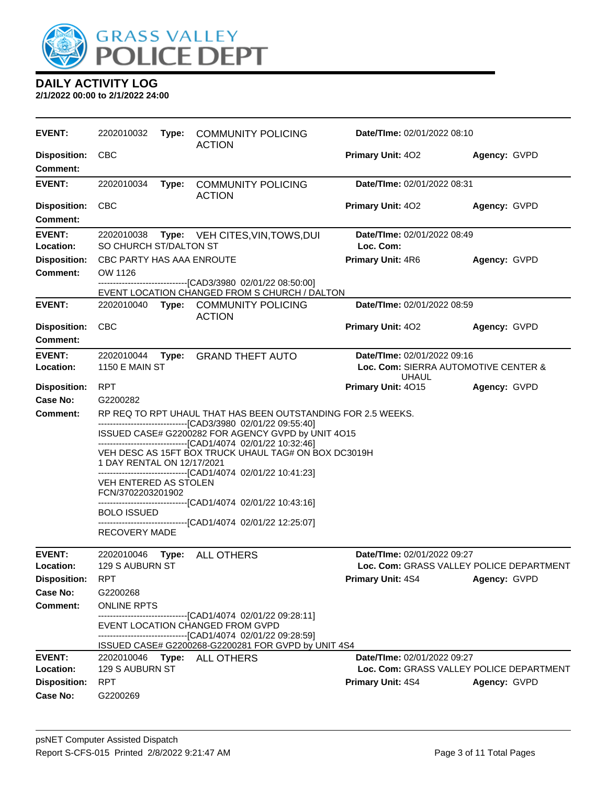

| <b>EVENT:</b>                               | 2202010032                                                                    |       | Type: COMMUNITY POLICING<br><b>ACTION</b>                                                                                                                                                                                                                                                                                                                                 | Date/TIme: 02/01/2022 08:10                 |                                                          |
|---------------------------------------------|-------------------------------------------------------------------------------|-------|---------------------------------------------------------------------------------------------------------------------------------------------------------------------------------------------------------------------------------------------------------------------------------------------------------------------------------------------------------------------------|---------------------------------------------|----------------------------------------------------------|
| <b>Disposition:</b><br><b>Comment:</b>      | <b>CBC</b>                                                                    |       |                                                                                                                                                                                                                                                                                                                                                                           | Primary Unit: 402                           | Agency: GVPD                                             |
| <b>EVENT:</b>                               | 2202010034                                                                    | Type: | <b>COMMUNITY POLICING</b><br><b>ACTION</b>                                                                                                                                                                                                                                                                                                                                | Date/TIme: 02/01/2022 08:31                 |                                                          |
| <b>Disposition:</b><br><b>Comment:</b>      | <b>CBC</b>                                                                    |       |                                                                                                                                                                                                                                                                                                                                                                           | Primary Unit: 402                           | Agency: GVPD                                             |
| <b>EVENT:</b><br>Location:                  | SO CHURCH ST/DALTON ST                                                        |       | 2202010038 Type: VEH CITES, VIN, TOWS, DUI                                                                                                                                                                                                                                                                                                                                | Date/TIme: 02/01/2022 08:49<br>Loc. Com:    |                                                          |
| <b>Disposition:</b><br><b>Comment:</b>      | CBC PARTY HAS AAA ENROUTE<br>OW 1126                                          |       | -------------------------------[CAD3/3980 02/01/22 08:50:00]<br>EVENT LOCATION CHANGED FROM S CHURCH / DALTON                                                                                                                                                                                                                                                             | Primary Unit: 4R6                           | Agency: GVPD                                             |
| <b>EVENT:</b>                               |                                                                               |       | 2202010040 Type: COMMUNITY POLICING<br><b>ACTION</b>                                                                                                                                                                                                                                                                                                                      | Date/TIme: 02/01/2022 08:59                 |                                                          |
| <b>Disposition:</b><br><b>Comment:</b>      | <b>CBC</b>                                                                    |       |                                                                                                                                                                                                                                                                                                                                                                           | <b>Primary Unit: 402</b>                    | Agency: GVPD                                             |
| <b>EVENT:</b><br>Location:                  | 2202010044<br><b>1150 E MAIN ST</b>                                           | Type: | <b>GRAND THEFT AUTO</b>                                                                                                                                                                                                                                                                                                                                                   | Date/TIme: 02/01/2022 09:16<br><b>UHAUL</b> | Loc. Com: SIERRA AUTOMOTIVE CENTER &                     |
| <b>Disposition:</b><br>Case No:<br>Comment: | <b>RPT</b><br>G2200282<br>1 DAY RENTAL ON 12/17/2021<br>VEH ENTERED AS STOLEN |       | RP REQ TO RPT UHAUL THAT HAS BEEN OUTSTANDING FOR 2.5 WEEKS.<br>-------------------------------[CAD3/3980 02/01/22 09:55:40]<br>ISSUED CASE# G2200282 FOR AGENCY GVPD by UNIT 4O15<br>-------------------------------[CAD1/4074 02/01/22 10:32:46]<br>VEH DESC AS 15FT BOX TRUCK UHAUL TAG# ON BOX DC3019H<br>------------------------------[CAD1/4074 02/01/22 10:41:23] | Primary Unit: 4015                          | Agency: GVPD                                             |
|                                             | FCN/3702203201902<br><b>BOLO ISSUED</b><br>RECOVERY MADE                      |       | -------------------------------[CAD1/4074 02/01/22 10:43:16]<br>-------------------------------[CAD1/4074_02/01/22 12:25:07]                                                                                                                                                                                                                                              |                                             |                                                          |
| <b>EVENT:</b>                               |                                                                               |       | 2202010046    Type: ALL OTHERS                                                                                                                                                                                                                                                                                                                                            | Date/TIme: 02/01/2022 09:27                 |                                                          |
| Location:<br><b>Disposition:</b>            | 129 S AUBURN ST<br><b>RPT</b>                                                 |       |                                                                                                                                                                                                                                                                                                                                                                           | <b>Primary Unit: 4S4</b>                    | Loc. Com: GRASS VALLEY POLICE DEPARTMENT<br>Agency: GVPD |
| Case No:                                    | G2200268                                                                      |       |                                                                                                                                                                                                                                                                                                                                                                           |                                             |                                                          |
| Comment:                                    | <b>ONLINE RPTS</b>                                                            |       | -------------------------------[CAD1/4074_02/01/22 09:28:11]<br>EVENT LOCATION CHANGED FROM GVPD<br>-------------------------------[CAD1/4074 02/01/22 09:28:59]<br>ISSUED CASE# G2200268-G2200281 FOR GVPD by UNIT 4S4                                                                                                                                                   |                                             |                                                          |
| <b>EVENT:</b><br>Location:                  | 129 S AUBURN ST                                                               |       | 2202010046    Type: ALL OTHERS                                                                                                                                                                                                                                                                                                                                            | Date/TIme: 02/01/2022 09:27                 | Loc. Com: GRASS VALLEY POLICE DEPARTMENT                 |
| <b>Disposition:</b><br>Case No:             | <b>RPT</b><br>G2200269                                                        |       |                                                                                                                                                                                                                                                                                                                                                                           | <b>Primary Unit: 4S4</b>                    | Agency: GVPD                                             |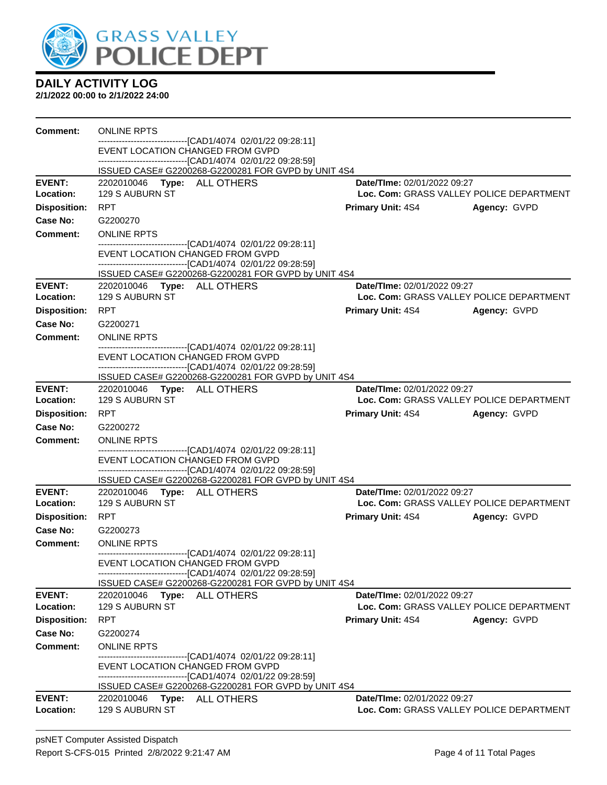

| <b>Comment:</b>            | <b>ONLINE RPTS</b>                                                                                                  |                             |                                          |
|----------------------------|---------------------------------------------------------------------------------------------------------------------|-----------------------------|------------------------------------------|
|                            | ------------------------------[CAD1/4074_02/01/22 09:28:11]<br>EVENT LOCATION CHANGED FROM GVPD                     |                             |                                          |
|                            | -------------------------------[CAD1/4074 02/01/22 09:28:59]                                                        |                             |                                          |
|                            | ISSUED CASE# G2200268-G2200281 FOR GVPD by UNIT 4S4                                                                 |                             |                                          |
| <b>EVENT:</b>              | 2202010046 Type: ALL OTHERS                                                                                         | Date/TIme: 02/01/2022 09:27 |                                          |
| Location:                  | 129 S AUBURN ST                                                                                                     |                             | Loc. Com: GRASS VALLEY POLICE DEPARTMENT |
| <b>Disposition:</b>        | <b>RPT</b>                                                                                                          | <b>Primary Unit: 4S4</b>    | Agency: GVPD                             |
| Case No:                   | G2200270                                                                                                            |                             |                                          |
| <b>Comment:</b>            | <b>ONLINE RPTS</b><br>-------------------------------[CAD1/4074 02/01/22 09:28:11]                                  |                             |                                          |
|                            | EVENT LOCATION CHANGED FROM GVPD                                                                                    |                             |                                          |
|                            | ------------------------------[CAD1/4074 02/01/22 09:28:59]                                                         |                             |                                          |
| <b>EVENT:</b>              | ISSUED CASE# G2200268-G2200281 FOR GVPD by UNIT 4S4                                                                 | Date/TIme: 02/01/2022 09:27 |                                          |
| Location:                  | 2202010046    Type: ALL OTHERS<br>129 S AUBURN ST                                                                   |                             | Loc. Com: GRASS VALLEY POLICE DEPARTMENT |
| <b>Disposition:</b>        | <b>RPT</b>                                                                                                          | <b>Primary Unit: 4S4</b>    | Agency: GVPD                             |
| Case No:                   | G2200271                                                                                                            |                             |                                          |
| <b>Comment:</b>            | <b>ONLINE RPTS</b>                                                                                                  |                             |                                          |
|                            | ---------------------------------[CAD1/4074_02/01/22 09:28:11]                                                      |                             |                                          |
|                            | EVENT LOCATION CHANGED FROM GVPD                                                                                    |                             |                                          |
|                            | -------------------------------[CAD1/4074 02/01/22 09:28:59]<br>ISSUED CASE# G2200268-G2200281 FOR GVPD by UNIT 4S4 |                             |                                          |
| <b>EVENT:</b>              | 2202010046    Type: ALL OTHERS                                                                                      | Date/TIme: 02/01/2022 09:27 |                                          |
| Location:                  | 129 S AUBURN ST                                                                                                     |                             | Loc. Com: GRASS VALLEY POLICE DEPARTMENT |
| <b>Disposition:</b>        | <b>RPT</b>                                                                                                          | <b>Primary Unit: 4S4</b>    | Agency: GVPD                             |
| Case No:                   | G2200272                                                                                                            |                             |                                          |
| Comment:                   | <b>ONLINE RPTS</b>                                                                                                  |                             |                                          |
|                            | ------------------------------[CAD1/4074 02/01/22 09:28:11]<br>EVENT LOCATION CHANGED FROM GVPD                     |                             |                                          |
|                            | -------------------------------[CAD1/4074 02/01/22 09:28:59]                                                        |                             |                                          |
|                            | ISSUED CASE# G2200268-G2200281 FOR GVPD by UNIT 4S4                                                                 |                             |                                          |
| <b>EVENT:</b><br>Location: | 2202010046    Type: ALL OTHERS<br>129 S AUBURN ST                                                                   | Date/TIme: 02/01/2022 09:27 | Loc. Com: GRASS VALLEY POLICE DEPARTMENT |
| <b>Disposition:</b>        | <b>RPT</b>                                                                                                          | <b>Primary Unit: 4S4</b>    | Agency: GVPD                             |
| Case No:                   | G2200273                                                                                                            |                             |                                          |
| Comment:                   | <b>ONLINE RPTS</b>                                                                                                  |                             |                                          |
|                            | -------------------------------[CAD1/4074 02/01/22 09:28:11]                                                        |                             |                                          |
|                            | EVENT LOCATION CHANGED FROM GVPD                                                                                    |                             |                                          |
|                            | -------------------------------[CAD1/4074 02/01/22 09:28:59]<br>ISSUED CASE# G2200268-G2200281 FOR GVPD by UNIT 4S4 |                             |                                          |
| <b>EVENT:</b>              | 2202010046<br>ALL OTHERS<br>Type:                                                                                   | Date/TIme: 02/01/2022 09:27 |                                          |
| Location:                  | 129 S AUBURN ST                                                                                                     |                             | Loc. Com: GRASS VALLEY POLICE DEPARTMENT |
| <b>Disposition:</b>        | <b>RPT</b>                                                                                                          | <b>Primary Unit: 4S4</b>    | Agency: GVPD                             |
| Case No:                   | G2200274                                                                                                            |                             |                                          |
| Comment:                   | <b>ONLINE RPTS</b>                                                                                                  |                             |                                          |
|                            | --------------------[CAD1/4074_02/01/22 09:28:11]<br>EVENT LOCATION CHANGED FROM GVPD                               |                             |                                          |
|                            | ------------------------------[CAD1/4074_02/01/22 09:28:59]                                                         |                             |                                          |
|                            | ISSUED CASE# G2200268-G2200281 FOR GVPD by UNIT 4S4                                                                 |                             |                                          |
| <b>EVENT:</b>              | 2202010046    Type: ALL OTHERS                                                                                      | Date/TIme: 02/01/2022 09:27 |                                          |
| Location:                  | 129 S AUBURN ST                                                                                                     |                             | Loc. Com: GRASS VALLEY POLICE DEPARTMENT |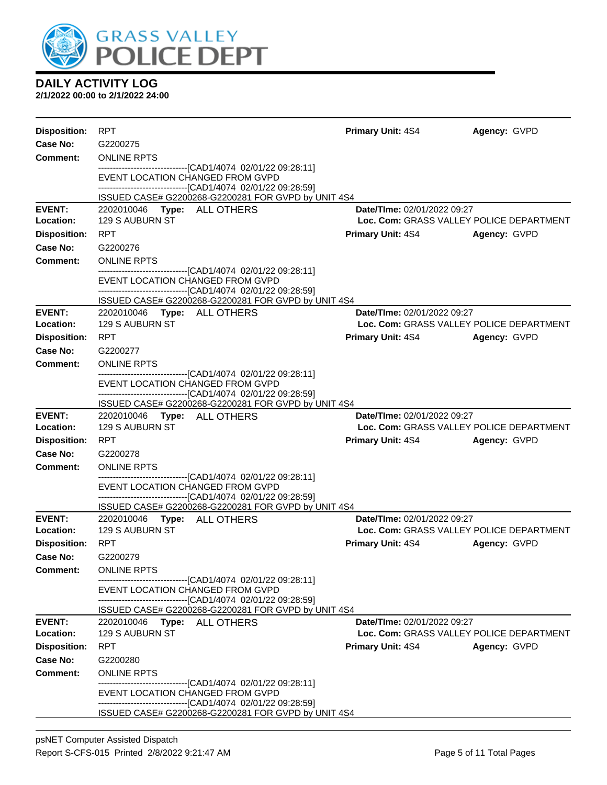

| <b>Disposition:</b>        | <b>RPT</b>                                        |                                                                                                    | <b>Primary Unit: 4S4</b>                                                | Agency: GVPD |
|----------------------------|---------------------------------------------------|----------------------------------------------------------------------------------------------------|-------------------------------------------------------------------------|--------------|
| Case No:                   | G2200275                                          |                                                                                                    |                                                                         |              |
| Comment:                   | <b>ONLINE RPTS</b>                                |                                                                                                    |                                                                         |              |
|                            |                                                   | -------------------------------[CAD1/4074 02/01/22 09:28:11]<br>EVENT LOCATION CHANGED FROM GVPD   |                                                                         |              |
|                            |                                                   | -------------------------------[CAD1/4074_02/01/22_09:28:59]                                       |                                                                         |              |
|                            |                                                   | ISSUED CASE# G2200268-G2200281 FOR GVPD by UNIT 4S4                                                |                                                                         |              |
| <b>EVENT:</b><br>Location: | 2202010046    Type: ALL OTHERS<br>129 S AUBURN ST |                                                                                                    | Date/TIme: 02/01/2022 09:27<br>Loc. Com: GRASS VALLEY POLICE DEPARTMENT |              |
| <b>Disposition:</b>        | <b>RPT</b>                                        |                                                                                                    | <b>Primary Unit: 4S4</b>                                                | Agency: GVPD |
| Case No:                   | G2200276                                          |                                                                                                    |                                                                         |              |
| Comment:                   | <b>ONLINE RPTS</b>                                |                                                                                                    |                                                                         |              |
|                            |                                                   | -------------------------------[CAD1/4074_02/01/22 09:28:11]                                       |                                                                         |              |
|                            |                                                   | EVENT LOCATION CHANGED FROM GVPD<br>---------------------------------[CAD1/4074 02/01/22 09:28:59] |                                                                         |              |
|                            |                                                   | ISSUED CASE# G2200268-G2200281 FOR GVPD by UNIT 4S4                                                |                                                                         |              |
| <b>EVENT:</b>              | 2202010046    Type: ALL OTHERS                    |                                                                                                    | Date/TIme: 02/01/2022 09:27                                             |              |
| Location:                  | 129 S AUBURN ST                                   |                                                                                                    | Loc. Com: GRASS VALLEY POLICE DEPARTMENT                                |              |
| <b>Disposition:</b>        | <b>RPT</b>                                        |                                                                                                    | <b>Primary Unit: 4S4</b>                                                | Agency: GVPD |
| Case No:                   | G2200277                                          |                                                                                                    |                                                                         |              |
| <b>Comment:</b>            | <b>ONLINE RPTS</b>                                | -------------------------------[CAD1/4074 02/01/22 09:28:11]                                       |                                                                         |              |
|                            |                                                   | EVENT LOCATION CHANGED FROM GVPD                                                                   |                                                                         |              |
|                            |                                                   | -------------------------------[CAD1/4074 02/01/22 09:28:59]                                       |                                                                         |              |
| <b>EVENT:</b>              | 2202010046    Type: ALL OTHERS                    | ISSUED CASE# G2200268-G2200281 FOR GVPD by UNIT 4S4                                                | Date/TIme: 02/01/2022 09:27                                             |              |
| Location:                  | 129 S AUBURN ST                                   |                                                                                                    | Loc. Com: GRASS VALLEY POLICE DEPARTMENT                                |              |
| <b>Disposition:</b>        | <b>RPT</b>                                        |                                                                                                    | <b>Primary Unit: 4S4</b>                                                | Agency: GVPD |
| Case No:                   | G2200278                                          |                                                                                                    |                                                                         |              |
| Comment:                   | <b>ONLINE RPTS</b>                                |                                                                                                    |                                                                         |              |
|                            |                                                   | -------------------------------[CAD1/4074 02/01/22 09:28:11]<br>EVENT LOCATION CHANGED FROM GVPD   |                                                                         |              |
|                            |                                                   | ------------------------------[CAD1/4074 02/01/22 09:28:59]                                        |                                                                         |              |
|                            |                                                   | ISSUED CASE# G2200268-G2200281 FOR GVPD by UNIT 4S4                                                |                                                                         |              |
| <b>EVENT:</b><br>Location: | 2202010046    Type: ALL OTHERS<br>129 S AUBURN ST |                                                                                                    | Date/TIme: 02/01/2022 09:27<br>Loc. Com: GRASS VALLEY POLICE DEPARTMENT |              |
| <b>Disposition:</b>        | <b>RPT</b>                                        |                                                                                                    | <b>Primary Unit: 4S4</b>                                                | Agency: GVPD |
| Case No:                   | G2200279                                          |                                                                                                    |                                                                         |              |
| <b>Comment:</b>            | <b>ONLINE RPTS</b>                                |                                                                                                    |                                                                         |              |
|                            |                                                   | ------------------------[CAD1/4074_02/01/22 09:28:11]                                              |                                                                         |              |
|                            |                                                   | EVENT LOCATION CHANGED FROM GVPD<br>-------------------------------[CAD1/4074 02/01/22 09:28:59]   |                                                                         |              |
|                            |                                                   | ISSUED CASE# G2200268-G2200281 FOR GVPD by UNIT 4S4                                                |                                                                         |              |
| <b>EVENT:</b>              | 2202010046                                        | Type: ALL OTHERS                                                                                   | <b>Date/TIme: 02/01/2022 09:27</b>                                      |              |
| Location:                  | 129 S AUBURN ST                                   |                                                                                                    | Loc. Com: GRASS VALLEY POLICE DEPARTMENT                                |              |
| <b>Disposition:</b>        | <b>RPT</b>                                        |                                                                                                    | <b>Primary Unit: 4S4</b>                                                | Agency: GVPD |
| Case No:                   | G2200280                                          |                                                                                                    |                                                                         |              |
| Comment:                   | <b>ONLINE RPTS</b>                                | ---------------------------------[CAD1/4074 02/01/22 09:28:11]                                     |                                                                         |              |
|                            |                                                   | EVENT LOCATION CHANGED FROM GVPD                                                                   |                                                                         |              |
|                            |                                                   | ----------------------------[CAD1/4074_02/01/22 09:28:59]                                          |                                                                         |              |
|                            |                                                   | ISSUED CASE# G2200268-G2200281 FOR GVPD by UNIT 4S4                                                |                                                                         |              |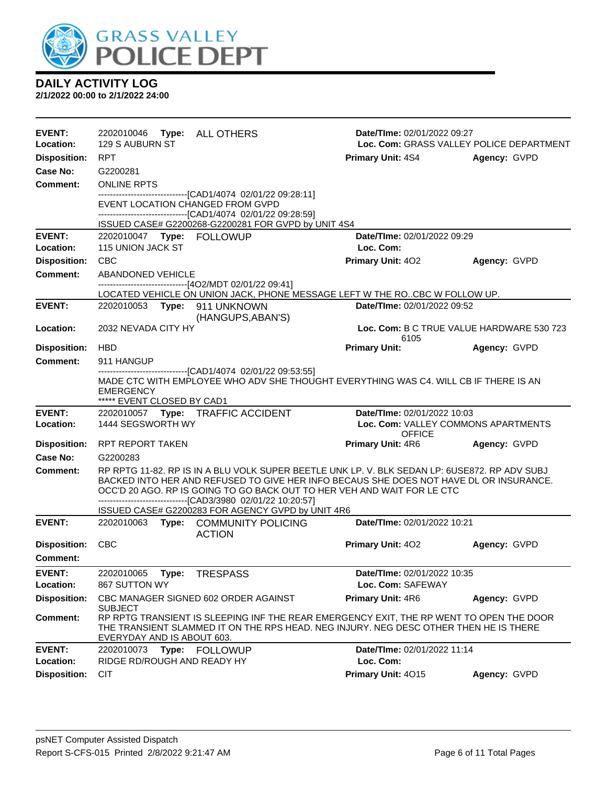

| EVENT:<br>Location:        | 2202010046 Type: ALL OTHERS<br>129 S AUBURN ST                                                          |                                                                                                                                                                                                                                                                    | Date/TIme: 02/01/2022 09:27                          | Loc. Com: GRASS VALLEY POLICE DEPARTMENT  |
|----------------------------|---------------------------------------------------------------------------------------------------------|--------------------------------------------------------------------------------------------------------------------------------------------------------------------------------------------------------------------------------------------------------------------|------------------------------------------------------|-------------------------------------------|
| <b>Disposition:</b>        | RPT                                                                                                     |                                                                                                                                                                                                                                                                    | <b>Primary Unit: 4S4</b>                             | Agency: GVPD                              |
| Case No:                   | G2200281                                                                                                |                                                                                                                                                                                                                                                                    |                                                      |                                           |
| Comment:                   | <b>ONLINE RPTS</b>                                                                                      |                                                                                                                                                                                                                                                                    |                                                      |                                           |
|                            | --------------------------------[CAD1/4074 02/01/22 09:28:11]<br>EVENT LOCATION CHANGED FROM GVPD       |                                                                                                                                                                                                                                                                    |                                                      |                                           |
|                            | -------------------------------[CAD1/4074 02/01/22 09:28:59]                                            |                                                                                                                                                                                                                                                                    |                                                      |                                           |
| <b>EVENT:</b>              |                                                                                                         | ISSUED CASE# G2200268-G2200281 FOR GVPD by UNIT 4S4                                                                                                                                                                                                                | Date/TIme: 02/01/2022 09:29                          |                                           |
| Location:                  | 115 UNION JACK ST                                                                                       |                                                                                                                                                                                                                                                                    | Loc. Com:                                            |                                           |
| <b>Disposition:</b>        | <b>CBC</b>                                                                                              |                                                                                                                                                                                                                                                                    | <b>Primary Unit: 402</b>                             | Agency: GVPD                              |
| <b>Comment:</b>            | ABANDONED VEHICLE                                                                                       |                                                                                                                                                                                                                                                                    |                                                      |                                           |
|                            | -------------------------------[4O2/MDT 02/01/22 09:41]                                                 |                                                                                                                                                                                                                                                                    |                                                      |                                           |
|                            |                                                                                                         | LOCATED VEHICLE ON UNION JACK, PHONE MESSAGE LEFT W THE ROCBC W FOLLOW UP.                                                                                                                                                                                         |                                                      |                                           |
| <b>EVENT:</b>              | 2202010053 Type: 911 UNKNOWN                                                                            | (HANGUPS, ABAN'S)                                                                                                                                                                                                                                                  | Date/TIme: 02/01/2022 09:52                          |                                           |
| Location:                  | 2032 NEVADA CITY HY                                                                                     |                                                                                                                                                                                                                                                                    | 6105                                                 | Loc. Com: B C TRUE VALUE HARDWARE 530 723 |
| <b>Disposition:</b>        | <b>HBD</b>                                                                                              |                                                                                                                                                                                                                                                                    | <b>Primary Unit:</b>                                 | Agency: GVPD                              |
| <b>Comment:</b>            | 911 HANGUP                                                                                              |                                                                                                                                                                                                                                                                    |                                                      |                                           |
|                            | -------------------------------[CAD1/4074_02/01/22_09:53:55]<br>EMERGENCY<br>***** EVENT CLOSED BY CAD1 | MADE CTC WITH EMPLOYEE WHO ADV SHE THOUGHT EVERYTHING WAS C4. WILL CB IF THERE IS AN                                                                                                                                                                               |                                                      |                                           |
|                            |                                                                                                         |                                                                                                                                                                                                                                                                    |                                                      |                                           |
| <b>EVENT:</b>              | 2202010057 Type: TRAFFIC ACCIDENT                                                                       |                                                                                                                                                                                                                                                                    | Date/TIme: 02/01/2022 10:03                          |                                           |
| Location:                  | 1444 SEGSWORTH WY                                                                                       |                                                                                                                                                                                                                                                                    | Loc. Com: VALLEY COMMONS APARTMENTS<br><b>OFFICE</b> |                                           |
| <b>Disposition:</b>        | RPT REPORT TAKEN                                                                                        |                                                                                                                                                                                                                                                                    | <b>Primary Unit: 4R6</b>                             | Agency: GVPD                              |
| <b>Case No:</b>            | G2200283                                                                                                |                                                                                                                                                                                                                                                                    |                                                      |                                           |
| <b>Comment:</b>            |                                                                                                         | RP RPTG 11-82. RP IS IN A BLU VOLK SUPER BEETLE UNK LP. V. BLK SEDAN LP: 6USE872. RP ADV SUBJ<br>BACKED INTO HER AND REFUSED TO GIVE HER INFO BECAUS SHE DOES NOT HAVE DL OR INSURANCE.<br>OCC'D 20 AGO. RP IS GOING TO GO BACK OUT TO HER VEH AND WAIT FOR LE CTC |                                                      |                                           |
|                            | -------------------------------[CAD3/3980 02/01/22 10:20:57]                                            | ISSUED CASE# G2200283 FOR AGENCY GVPD by UNIT 4R6                                                                                                                                                                                                                  |                                                      |                                           |
| <b>EVENT:</b>              | 2202010063 Type: COMMUNITY POLICING                                                                     | <b>ACTION</b>                                                                                                                                                                                                                                                      | Date/TIme: 02/01/2022 10:21                          |                                           |
| <b>Disposition:</b>        | <b>CBC</b>                                                                                              |                                                                                                                                                                                                                                                                    | <b>Primary Unit: 402</b>                             | Agency: GVPD                              |
| Comment:                   |                                                                                                         |                                                                                                                                                                                                                                                                    |                                                      |                                           |
| <b>EVENT:</b>              | 2202010065<br>Type:                                                                                     | <b>TRESPASS</b>                                                                                                                                                                                                                                                    | Date/TIme: 02/01/2022 10:35                          |                                           |
| Location:                  | 867 SUTTON WY                                                                                           |                                                                                                                                                                                                                                                                    | Loc. Com: SAFEWAY                                    |                                           |
| <b>Disposition:</b>        | CBC MANAGER SIGNED 602 ORDER AGAINST<br><b>SUBJECT</b>                                                  |                                                                                                                                                                                                                                                                    | Primary Unit: 4R6                                    | Agency: GVPD                              |
| <b>Comment:</b>            | EVERYDAY AND IS ABOUT 603.                                                                              | RP RPTG TRANSIENT IS SLEEPING INF THE REAR EMERGENCY EXIT, THE RP WENT TO OPEN THE DOOR<br>THE TRANSIENT SLAMMED IT ON THE RPS HEAD. NEG INJURY. NEG DESC OTHER THEN HE IS THERE                                                                                   |                                                      |                                           |
| <b>EVENT:</b><br>Location: | 2202010073<br>Type: FOLLOWUP<br>RIDGE RD/ROUGH AND READY HY                                             |                                                                                                                                                                                                                                                                    | Date/TIme: 02/01/2022 11:14<br>Loc. Com:             |                                           |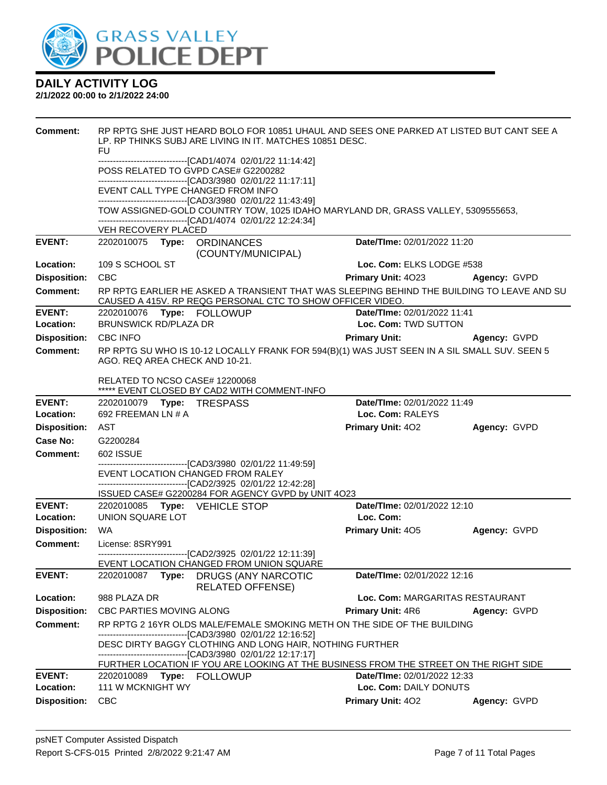

| Comment:                         | RP RPTG SHE JUST HEARD BOLO FOR 10851 UHAUL AND SEES ONE PARKED AT LISTED BUT CANT SEE A<br>LP. RP THINKS SUBJ ARE LIVING IN IT. MATCHES 10851 DESC.<br><b>FU</b>                                                |                                             |              |  |  |
|----------------------------------|------------------------------------------------------------------------------------------------------------------------------------------------------------------------------------------------------------------|---------------------------------------------|--------------|--|--|
|                                  | -------------------------------[CAD1/4074 02/01/22 11:14:42]<br>POSS RELATED TO GVPD CASE# G2200282                                                                                                              |                                             |              |  |  |
|                                  | -------------------------------[CAD3/3980 02/01/22 11:17:11]<br>EVENT CALL TYPE CHANGED FROM INFO                                                                                                                |                                             |              |  |  |
|                                  | -------------------------------[CAD3/3980 02/01/22 11:43:49]<br>TOW ASSIGNED-GOLD COUNTRY TOW, 1025 IDAHO MARYLAND DR, GRASS VALLEY, 5309555653,<br>-------------------------------[CAD1/4074 02/01/22 12:24:34] |                                             |              |  |  |
|                                  | VEH RECOVERY PLACED                                                                                                                                                                                              |                                             |              |  |  |
| <b>EVENT:</b>                    | (COUNTY/MUNICIPAL)                                                                                                                                                                                               | Date/TIme: 02/01/2022 11:20                 |              |  |  |
| Location:                        | 109 S SCHOOL ST                                                                                                                                                                                                  | Loc. Com: ELKS LODGE #538                   |              |  |  |
| <b>Disposition:</b>              | <b>CBC</b>                                                                                                                                                                                                       | <b>Primary Unit: 4023</b>                   | Agency: GVPD |  |  |
| <b>Comment:</b>                  | RP RPTG EARLIER HE ASKED A TRANSIENT THAT WAS SLEEPING BEHIND THE BUILDING TO LEAVE AND SU<br>CAUSED A 415V. RP REQG PERSONAL CTC TO SHOW OFFICER VIDEO.                                                         |                                             |              |  |  |
| <b>EVENT:</b>                    |                                                                                                                                                                                                                  | Date/TIme: 02/01/2022 11:41                 |              |  |  |
| Location:                        | <b>BRUNSWICK RD/PLAZA DR</b>                                                                                                                                                                                     | Loc. Com: TWD SUTTON                        |              |  |  |
| <b>Disposition:</b>              | <b>CBC INFO</b>                                                                                                                                                                                                  | <b>Primary Unit:</b>                        | Agency: GVPD |  |  |
| <b>Comment:</b>                  | RP RPTG SU WHO IS 10-12 LOCALLY FRANK FOR 594(B)(1) WAS JUST SEEN IN A SIL SMALL SUV. SEEN 5<br>AGO. REQ AREA CHECK AND 10-21.                                                                                   |                                             |              |  |  |
|                                  | RELATED TO NCSO CASE# 12200068<br>***** EVENT CLOSED BY CAD2 WITH COMMENT-INFO                                                                                                                                   |                                             |              |  |  |
| <b>EVENT:</b>                    |                                                                                                                                                                                                                  | Date/TIme: 02/01/2022 11:49                 |              |  |  |
| Location:                        | 692 FREEMAN LN # A                                                                                                                                                                                               | Loc. Com: RALEYS                            |              |  |  |
| <b>Disposition:</b>              | AST                                                                                                                                                                                                              | <b>Primary Unit: 402</b>                    | Agency: GVPD |  |  |
| <b>Case No:</b>                  | G2200284                                                                                                                                                                                                         |                                             |              |  |  |
|                                  | 602 ISSUE                                                                                                                                                                                                        |                                             |              |  |  |
| Comment:                         |                                                                                                                                                                                                                  |                                             |              |  |  |
|                                  | --------------------------------[CAD3/3980 02/01/22 11:49:59]                                                                                                                                                    |                                             |              |  |  |
|                                  | EVENT LOCATION CHANGED FROM RALEY<br>-------------------------------[CAD2/3925 02/01/22 12:42:28]                                                                                                                |                                             |              |  |  |
|                                  | ISSUED CASE# G2200284 FOR AGENCY GVPD by UNIT 4O23                                                                                                                                                               |                                             |              |  |  |
| <b>EVENT:</b>                    | 2202010085 Type: VEHICLE STOP                                                                                                                                                                                    | Date/TIme: 02/01/2022 12:10                 |              |  |  |
| Location:                        | UNION SQUARE LOT                                                                                                                                                                                                 | Loc. Com:                                   |              |  |  |
| <b>Disposition:</b>              | WA.                                                                                                                                                                                                              | <b>Primary Unit: 405</b>                    | Agency: GVPD |  |  |
| <b>Comment:</b>                  | License: 8SRY991<br>-------------------------------[CAD2/3925 02/01/22 12:11:39]                                                                                                                                 |                                             |              |  |  |
| <b>EVENT:</b>                    | EVENT LOCATION CHANGED FROM UNION SQUARE<br>2202010087<br>Type:<br><b>DRUGS (ANY NARCOTIC</b>                                                                                                                    | Date/TIme: 02/01/2022 12:16                 |              |  |  |
| Location:                        | <b>RELATED OFFENSE)</b><br>988 PLAZA DR                                                                                                                                                                          | Loc. Com: MARGARITAS RESTAURANT             |              |  |  |
| <b>Disposition:</b>              | <b>CBC PARTIES MOVING ALONG</b>                                                                                                                                                                                  | <b>Primary Unit: 4R6</b>                    | Agency: GVPD |  |  |
| <b>Comment:</b>                  | RP RPTG 2 16YR OLDS MALE/FEMALE SMOKING METH ON THE SIDE OF THE BUILDING                                                                                                                                         |                                             |              |  |  |
|                                  | --------------------------------[CAD3/3980 02/01/22 12:16:52]<br>DESC DIRTY BAGGY CLOTHING AND LONG HAIR, NOTHING FURTHER                                                                                        |                                             |              |  |  |
|                                  | -------------------------------[CAD3/3980 02/01/22 12:17:17]                                                                                                                                                     |                                             |              |  |  |
|                                  | FURTHER LOCATION IF YOU ARE LOOKING AT THE BUSINESS FROM THE STREET ON THE RIGHT SIDE                                                                                                                            |                                             |              |  |  |
| <b>EVENT:</b>                    | 2202010089<br>Type:<br>FOLLOWUP                                                                                                                                                                                  | Date/TIme: 02/01/2022 12:33                 |              |  |  |
| Location:<br><b>Disposition:</b> | 111 W MCKNIGHT WY<br><b>CBC</b>                                                                                                                                                                                  | Loc. Com: DAILY DONUTS<br>Primary Unit: 402 | Agency: GVPD |  |  |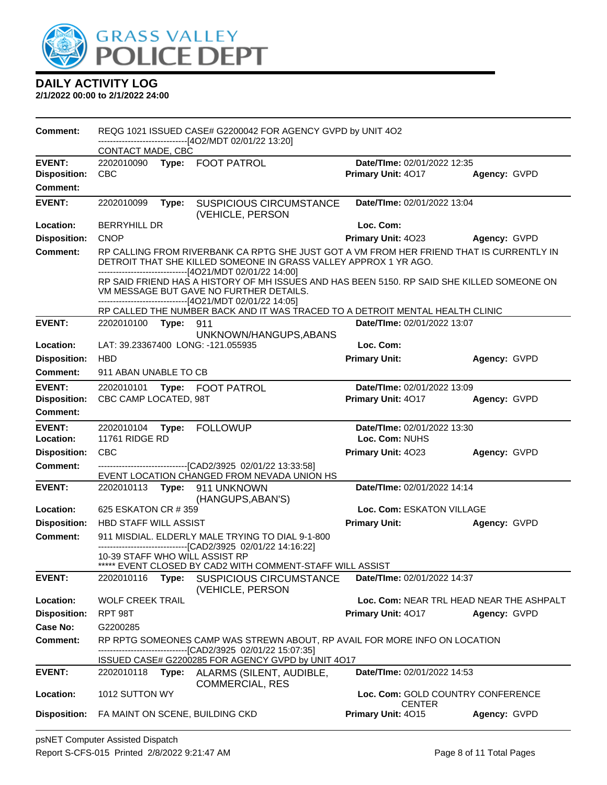

| CONTACT MADE, CBC<br><b>EVENT:</b><br>Date/TIme: 02/01/2022 12:35<br>2202010090 Type: FOOT PATROL<br><b>Disposition:</b><br><b>CBC</b><br>Primary Unit: 4017<br>Agency: GVPD<br><b>Comment:</b><br><b>EVENT:</b><br>2202010099<br><b>SUSPICIOUS CIRCUMSTANCE</b><br>Date/TIme: 02/01/2022 13:04<br>Type:<br>(VEHICLE, PERSON<br>Loc. Com:<br>Location:<br><b>BERRYHILL DR</b><br><b>Disposition:</b><br><b>CNOP</b><br>Primary Unit: 4023<br>Agency: GVPD<br><b>Comment:</b><br>RP CALLING FROM RIVERBANK CA RPTG SHE JUST GOT A VM FROM HER FRIEND THAT IS CURRENTLY IN<br>DETROIT THAT SHE KILLED SOMEONE IN GRASS VALLEY APPROX 1 YR AGO.<br>--------------------[4O21/MDT 02/01/22 14:00]<br>RP SAID FRIEND HAS A HISTORY OF MH ISSUES AND HAS BEEN 5150. RP SAID SHE KILLED SOMEONE ON<br>VM MESSAGE BUT GAVE NO FURTHER DETAILS.<br>------------------------------[4O21/MDT 02/01/22 14:05]<br>RP CALLED THE NUMBER BACK AND IT WAS TRACED TO A DETROIT MENTAL HEALTH CLINIC<br><b>EVENT:</b><br>Date/TIme: 02/01/2022 13:07<br>2202010100 Type:<br>911<br>UNKNOWN/HANGUPS, ABANS<br>Location:<br>Loc. Com:<br>LAT: 39.23367400 LONG: -121.055935<br><b>Disposition:</b><br><b>HBD</b><br><b>Primary Unit:</b><br>Agency: GVPD<br>Comment:<br>911 ABAN UNABLE TO CB<br><b>EVENT:</b><br>Date/TIme: 02/01/2022 13:09<br>2202010101 Type: FOOT PATROL<br>CBC CAMP LOCATED, 98T<br><b>Disposition:</b><br>Primary Unit: 4017<br>Agency: GVPD<br><b>Comment:</b><br><b>EVENT:</b><br>Date/TIme: 02/01/2022 13:30<br>2202010104<br><b>FOLLOWUP</b><br>Type:<br><b>11761 RIDGE RD</b><br>Loc. Com: NUHS<br>Location:<br><b>Disposition:</b><br><b>CBC</b><br>Primary Unit: 4023<br>Agency: GVPD<br><b>Comment:</b><br>--------------------------------[CAD2/3925 02/01/22 13:33:58]<br>EVENT LOCATION CHANGED FROM NEVADA UNION HS<br>Date/TIme: 02/01/2022 14:14<br><b>EVENT:</b><br>2202010113 Type: 911 UNKNOWN<br>(HANGUPS, ABAN'S)<br>Location:<br>625 ESKATON CR # 359<br>Loc. Com: ESKATON VILLAGE<br><b>Disposition:</b><br><b>Primary Unit:</b><br><b>HBD STAFF WILL ASSIST</b><br>Agency: GVPD<br><b>Comment:</b><br>911 MISDIAL. ELDERLY MALE TRYING TO DIAL 9-1-800<br>------------------------------[CAD2/3925 02/01/22 14:16:22]<br>10-39 STAFF WHO WILL ASSIST RP<br>***** EVENT CLOSED BY CAD2 WITH COMMENT-STAFF WILL ASSIST<br><b>EVENT:</b><br><b>SUSPICIOUS CIRCUMSTANCE</b><br>Date/TIme: 02/01/2022 14:37<br>2202010116<br>Type:<br>(VEHICLE, PERSON<br>Location:<br><b>WOLF CREEK TRAIL</b><br>Loc. Com: NEAR TRL HEAD NEAR THE ASHPALT<br><b>Disposition:</b><br>RPT 98T<br><b>Primary Unit: 4017</b><br>Agency: GVPD<br>Case No:<br>G2200285<br><b>Comment:</b><br>RP RPTG SOMEONES CAMP WAS STREWN ABOUT, RP AVAIL FOR MORE INFO ON LOCATION<br>-------------------------------[CAD2/3925 02/01/22 15:07:35]<br>ISSUED CASE# G2200285 FOR AGENCY GVPD by UNIT 4O17<br>Date/TIme: 02/01/2022 14:53<br><b>EVENT:</b><br>2202010118 Type: ALARMS (SILENT, AUDIBLE,<br><b>COMMERCIAL, RES</b><br>Location:<br>1012 SUTTON WY<br>Loc. Com: GOLD COUNTRY CONFERENCE<br><b>CENTER</b> | <b>Comment:</b>     | REQG 1021 ISSUED CASE# G2200042 FOR AGENCY GVPD by UNIT 402<br>-----------------------[4O2/MDT 02/01/22 13:20] |  |  |                    |              |
|----------------------------------------------------------------------------------------------------------------------------------------------------------------------------------------------------------------------------------------------------------------------------------------------------------------------------------------------------------------------------------------------------------------------------------------------------------------------------------------------------------------------------------------------------------------------------------------------------------------------------------------------------------------------------------------------------------------------------------------------------------------------------------------------------------------------------------------------------------------------------------------------------------------------------------------------------------------------------------------------------------------------------------------------------------------------------------------------------------------------------------------------------------------------------------------------------------------------------------------------------------------------------------------------------------------------------------------------------------------------------------------------------------------------------------------------------------------------------------------------------------------------------------------------------------------------------------------------------------------------------------------------------------------------------------------------------------------------------------------------------------------------------------------------------------------------------------------------------------------------------------------------------------------------------------------------------------------------------------------------------------------------------------------------------------------------------------------------------------------------------------------------------------------------------------------------------------------------------------------------------------------------------------------------------------------------------------------------------------------------------------------------------------------------------------------------------------------------------------------------------------------------------------------------------------------------------------------------------------------------------------------------------------------------------------------------------------------------------------------------------------------------------------------------------------------------------------------------------------------------------------------------------------------------------------------------------------------------------------------------------------------------------------------------------------------------------------------------------------|---------------------|----------------------------------------------------------------------------------------------------------------|--|--|--------------------|--------------|
|                                                                                                                                                                                                                                                                                                                                                                                                                                                                                                                                                                                                                                                                                                                                                                                                                                                                                                                                                                                                                                                                                                                                                                                                                                                                                                                                                                                                                                                                                                                                                                                                                                                                                                                                                                                                                                                                                                                                                                                                                                                                                                                                                                                                                                                                                                                                                                                                                                                                                                                                                                                                                                                                                                                                                                                                                                                                                                                                                                                                                                                                                                          |                     |                                                                                                                |  |  |                    |              |
|                                                                                                                                                                                                                                                                                                                                                                                                                                                                                                                                                                                                                                                                                                                                                                                                                                                                                                                                                                                                                                                                                                                                                                                                                                                                                                                                                                                                                                                                                                                                                                                                                                                                                                                                                                                                                                                                                                                                                                                                                                                                                                                                                                                                                                                                                                                                                                                                                                                                                                                                                                                                                                                                                                                                                                                                                                                                                                                                                                                                                                                                                                          |                     |                                                                                                                |  |  |                    |              |
|                                                                                                                                                                                                                                                                                                                                                                                                                                                                                                                                                                                                                                                                                                                                                                                                                                                                                                                                                                                                                                                                                                                                                                                                                                                                                                                                                                                                                                                                                                                                                                                                                                                                                                                                                                                                                                                                                                                                                                                                                                                                                                                                                                                                                                                                                                                                                                                                                                                                                                                                                                                                                                                                                                                                                                                                                                                                                                                                                                                                                                                                                                          |                     |                                                                                                                |  |  |                    |              |
|                                                                                                                                                                                                                                                                                                                                                                                                                                                                                                                                                                                                                                                                                                                                                                                                                                                                                                                                                                                                                                                                                                                                                                                                                                                                                                                                                                                                                                                                                                                                                                                                                                                                                                                                                                                                                                                                                                                                                                                                                                                                                                                                                                                                                                                                                                                                                                                                                                                                                                                                                                                                                                                                                                                                                                                                                                                                                                                                                                                                                                                                                                          |                     |                                                                                                                |  |  |                    |              |
|                                                                                                                                                                                                                                                                                                                                                                                                                                                                                                                                                                                                                                                                                                                                                                                                                                                                                                                                                                                                                                                                                                                                                                                                                                                                                                                                                                                                                                                                                                                                                                                                                                                                                                                                                                                                                                                                                                                                                                                                                                                                                                                                                                                                                                                                                                                                                                                                                                                                                                                                                                                                                                                                                                                                                                                                                                                                                                                                                                                                                                                                                                          |                     |                                                                                                                |  |  |                    |              |
|                                                                                                                                                                                                                                                                                                                                                                                                                                                                                                                                                                                                                                                                                                                                                                                                                                                                                                                                                                                                                                                                                                                                                                                                                                                                                                                                                                                                                                                                                                                                                                                                                                                                                                                                                                                                                                                                                                                                                                                                                                                                                                                                                                                                                                                                                                                                                                                                                                                                                                                                                                                                                                                                                                                                                                                                                                                                                                                                                                                                                                                                                                          |                     |                                                                                                                |  |  |                    |              |
|                                                                                                                                                                                                                                                                                                                                                                                                                                                                                                                                                                                                                                                                                                                                                                                                                                                                                                                                                                                                                                                                                                                                                                                                                                                                                                                                                                                                                                                                                                                                                                                                                                                                                                                                                                                                                                                                                                                                                                                                                                                                                                                                                                                                                                                                                                                                                                                                                                                                                                                                                                                                                                                                                                                                                                                                                                                                                                                                                                                                                                                                                                          |                     |                                                                                                                |  |  |                    |              |
|                                                                                                                                                                                                                                                                                                                                                                                                                                                                                                                                                                                                                                                                                                                                                                                                                                                                                                                                                                                                                                                                                                                                                                                                                                                                                                                                                                                                                                                                                                                                                                                                                                                                                                                                                                                                                                                                                                                                                                                                                                                                                                                                                                                                                                                                                                                                                                                                                                                                                                                                                                                                                                                                                                                                                                                                                                                                                                                                                                                                                                                                                                          |                     |                                                                                                                |  |  |                    |              |
|                                                                                                                                                                                                                                                                                                                                                                                                                                                                                                                                                                                                                                                                                                                                                                                                                                                                                                                                                                                                                                                                                                                                                                                                                                                                                                                                                                                                                                                                                                                                                                                                                                                                                                                                                                                                                                                                                                                                                                                                                                                                                                                                                                                                                                                                                                                                                                                                                                                                                                                                                                                                                                                                                                                                                                                                                                                                                                                                                                                                                                                                                                          |                     |                                                                                                                |  |  |                    |              |
|                                                                                                                                                                                                                                                                                                                                                                                                                                                                                                                                                                                                                                                                                                                                                                                                                                                                                                                                                                                                                                                                                                                                                                                                                                                                                                                                                                                                                                                                                                                                                                                                                                                                                                                                                                                                                                                                                                                                                                                                                                                                                                                                                                                                                                                                                                                                                                                                                                                                                                                                                                                                                                                                                                                                                                                                                                                                                                                                                                                                                                                                                                          |                     |                                                                                                                |  |  |                    |              |
|                                                                                                                                                                                                                                                                                                                                                                                                                                                                                                                                                                                                                                                                                                                                                                                                                                                                                                                                                                                                                                                                                                                                                                                                                                                                                                                                                                                                                                                                                                                                                                                                                                                                                                                                                                                                                                                                                                                                                                                                                                                                                                                                                                                                                                                                                                                                                                                                                                                                                                                                                                                                                                                                                                                                                                                                                                                                                                                                                                                                                                                                                                          |                     |                                                                                                                |  |  |                    |              |
|                                                                                                                                                                                                                                                                                                                                                                                                                                                                                                                                                                                                                                                                                                                                                                                                                                                                                                                                                                                                                                                                                                                                                                                                                                                                                                                                                                                                                                                                                                                                                                                                                                                                                                                                                                                                                                                                                                                                                                                                                                                                                                                                                                                                                                                                                                                                                                                                                                                                                                                                                                                                                                                                                                                                                                                                                                                                                                                                                                                                                                                                                                          |                     |                                                                                                                |  |  |                    |              |
|                                                                                                                                                                                                                                                                                                                                                                                                                                                                                                                                                                                                                                                                                                                                                                                                                                                                                                                                                                                                                                                                                                                                                                                                                                                                                                                                                                                                                                                                                                                                                                                                                                                                                                                                                                                                                                                                                                                                                                                                                                                                                                                                                                                                                                                                                                                                                                                                                                                                                                                                                                                                                                                                                                                                                                                                                                                                                                                                                                                                                                                                                                          |                     |                                                                                                                |  |  |                    |              |
|                                                                                                                                                                                                                                                                                                                                                                                                                                                                                                                                                                                                                                                                                                                                                                                                                                                                                                                                                                                                                                                                                                                                                                                                                                                                                                                                                                                                                                                                                                                                                                                                                                                                                                                                                                                                                                                                                                                                                                                                                                                                                                                                                                                                                                                                                                                                                                                                                                                                                                                                                                                                                                                                                                                                                                                                                                                                                                                                                                                                                                                                                                          |                     |                                                                                                                |  |  |                    |              |
|                                                                                                                                                                                                                                                                                                                                                                                                                                                                                                                                                                                                                                                                                                                                                                                                                                                                                                                                                                                                                                                                                                                                                                                                                                                                                                                                                                                                                                                                                                                                                                                                                                                                                                                                                                                                                                                                                                                                                                                                                                                                                                                                                                                                                                                                                                                                                                                                                                                                                                                                                                                                                                                                                                                                                                                                                                                                                                                                                                                                                                                                                                          |                     |                                                                                                                |  |  |                    |              |
|                                                                                                                                                                                                                                                                                                                                                                                                                                                                                                                                                                                                                                                                                                                                                                                                                                                                                                                                                                                                                                                                                                                                                                                                                                                                                                                                                                                                                                                                                                                                                                                                                                                                                                                                                                                                                                                                                                                                                                                                                                                                                                                                                                                                                                                                                                                                                                                                                                                                                                                                                                                                                                                                                                                                                                                                                                                                                                                                                                                                                                                                                                          |                     |                                                                                                                |  |  |                    |              |
|                                                                                                                                                                                                                                                                                                                                                                                                                                                                                                                                                                                                                                                                                                                                                                                                                                                                                                                                                                                                                                                                                                                                                                                                                                                                                                                                                                                                                                                                                                                                                                                                                                                                                                                                                                                                                                                                                                                                                                                                                                                                                                                                                                                                                                                                                                                                                                                                                                                                                                                                                                                                                                                                                                                                                                                                                                                                                                                                                                                                                                                                                                          |                     |                                                                                                                |  |  |                    |              |
|                                                                                                                                                                                                                                                                                                                                                                                                                                                                                                                                                                                                                                                                                                                                                                                                                                                                                                                                                                                                                                                                                                                                                                                                                                                                                                                                                                                                                                                                                                                                                                                                                                                                                                                                                                                                                                                                                                                                                                                                                                                                                                                                                                                                                                                                                                                                                                                                                                                                                                                                                                                                                                                                                                                                                                                                                                                                                                                                                                                                                                                                                                          |                     |                                                                                                                |  |  |                    |              |
|                                                                                                                                                                                                                                                                                                                                                                                                                                                                                                                                                                                                                                                                                                                                                                                                                                                                                                                                                                                                                                                                                                                                                                                                                                                                                                                                                                                                                                                                                                                                                                                                                                                                                                                                                                                                                                                                                                                                                                                                                                                                                                                                                                                                                                                                                                                                                                                                                                                                                                                                                                                                                                                                                                                                                                                                                                                                                                                                                                                                                                                                                                          |                     |                                                                                                                |  |  |                    |              |
|                                                                                                                                                                                                                                                                                                                                                                                                                                                                                                                                                                                                                                                                                                                                                                                                                                                                                                                                                                                                                                                                                                                                                                                                                                                                                                                                                                                                                                                                                                                                                                                                                                                                                                                                                                                                                                                                                                                                                                                                                                                                                                                                                                                                                                                                                                                                                                                                                                                                                                                                                                                                                                                                                                                                                                                                                                                                                                                                                                                                                                                                                                          |                     |                                                                                                                |  |  |                    |              |
|                                                                                                                                                                                                                                                                                                                                                                                                                                                                                                                                                                                                                                                                                                                                                                                                                                                                                                                                                                                                                                                                                                                                                                                                                                                                                                                                                                                                                                                                                                                                                                                                                                                                                                                                                                                                                                                                                                                                                                                                                                                                                                                                                                                                                                                                                                                                                                                                                                                                                                                                                                                                                                                                                                                                                                                                                                                                                                                                                                                                                                                                                                          |                     |                                                                                                                |  |  |                    |              |
|                                                                                                                                                                                                                                                                                                                                                                                                                                                                                                                                                                                                                                                                                                                                                                                                                                                                                                                                                                                                                                                                                                                                                                                                                                                                                                                                                                                                                                                                                                                                                                                                                                                                                                                                                                                                                                                                                                                                                                                                                                                                                                                                                                                                                                                                                                                                                                                                                                                                                                                                                                                                                                                                                                                                                                                                                                                                                                                                                                                                                                                                                                          |                     |                                                                                                                |  |  |                    |              |
|                                                                                                                                                                                                                                                                                                                                                                                                                                                                                                                                                                                                                                                                                                                                                                                                                                                                                                                                                                                                                                                                                                                                                                                                                                                                                                                                                                                                                                                                                                                                                                                                                                                                                                                                                                                                                                                                                                                                                                                                                                                                                                                                                                                                                                                                                                                                                                                                                                                                                                                                                                                                                                                                                                                                                                                                                                                                                                                                                                                                                                                                                                          |                     |                                                                                                                |  |  |                    |              |
|                                                                                                                                                                                                                                                                                                                                                                                                                                                                                                                                                                                                                                                                                                                                                                                                                                                                                                                                                                                                                                                                                                                                                                                                                                                                                                                                                                                                                                                                                                                                                                                                                                                                                                                                                                                                                                                                                                                                                                                                                                                                                                                                                                                                                                                                                                                                                                                                                                                                                                                                                                                                                                                                                                                                                                                                                                                                                                                                                                                                                                                                                                          |                     |                                                                                                                |  |  |                    |              |
|                                                                                                                                                                                                                                                                                                                                                                                                                                                                                                                                                                                                                                                                                                                                                                                                                                                                                                                                                                                                                                                                                                                                                                                                                                                                                                                                                                                                                                                                                                                                                                                                                                                                                                                                                                                                                                                                                                                                                                                                                                                                                                                                                                                                                                                                                                                                                                                                                                                                                                                                                                                                                                                                                                                                                                                                                                                                                                                                                                                                                                                                                                          |                     |                                                                                                                |  |  |                    |              |
|                                                                                                                                                                                                                                                                                                                                                                                                                                                                                                                                                                                                                                                                                                                                                                                                                                                                                                                                                                                                                                                                                                                                                                                                                                                                                                                                                                                                                                                                                                                                                                                                                                                                                                                                                                                                                                                                                                                                                                                                                                                                                                                                                                                                                                                                                                                                                                                                                                                                                                                                                                                                                                                                                                                                                                                                                                                                                                                                                                                                                                                                                                          |                     |                                                                                                                |  |  |                    |              |
|                                                                                                                                                                                                                                                                                                                                                                                                                                                                                                                                                                                                                                                                                                                                                                                                                                                                                                                                                                                                                                                                                                                                                                                                                                                                                                                                                                                                                                                                                                                                                                                                                                                                                                                                                                                                                                                                                                                                                                                                                                                                                                                                                                                                                                                                                                                                                                                                                                                                                                                                                                                                                                                                                                                                                                                                                                                                                                                                                                                                                                                                                                          |                     |                                                                                                                |  |  |                    |              |
|                                                                                                                                                                                                                                                                                                                                                                                                                                                                                                                                                                                                                                                                                                                                                                                                                                                                                                                                                                                                                                                                                                                                                                                                                                                                                                                                                                                                                                                                                                                                                                                                                                                                                                                                                                                                                                                                                                                                                                                                                                                                                                                                                                                                                                                                                                                                                                                                                                                                                                                                                                                                                                                                                                                                                                                                                                                                                                                                                                                                                                                                                                          |                     |                                                                                                                |  |  |                    |              |
|                                                                                                                                                                                                                                                                                                                                                                                                                                                                                                                                                                                                                                                                                                                                                                                                                                                                                                                                                                                                                                                                                                                                                                                                                                                                                                                                                                                                                                                                                                                                                                                                                                                                                                                                                                                                                                                                                                                                                                                                                                                                                                                                                                                                                                                                                                                                                                                                                                                                                                                                                                                                                                                                                                                                                                                                                                                                                                                                                                                                                                                                                                          |                     |                                                                                                                |  |  |                    |              |
|                                                                                                                                                                                                                                                                                                                                                                                                                                                                                                                                                                                                                                                                                                                                                                                                                                                                                                                                                                                                                                                                                                                                                                                                                                                                                                                                                                                                                                                                                                                                                                                                                                                                                                                                                                                                                                                                                                                                                                                                                                                                                                                                                                                                                                                                                                                                                                                                                                                                                                                                                                                                                                                                                                                                                                                                                                                                                                                                                                                                                                                                                                          |                     |                                                                                                                |  |  |                    |              |
|                                                                                                                                                                                                                                                                                                                                                                                                                                                                                                                                                                                                                                                                                                                                                                                                                                                                                                                                                                                                                                                                                                                                                                                                                                                                                                                                                                                                                                                                                                                                                                                                                                                                                                                                                                                                                                                                                                                                                                                                                                                                                                                                                                                                                                                                                                                                                                                                                                                                                                                                                                                                                                                                                                                                                                                                                                                                                                                                                                                                                                                                                                          |                     |                                                                                                                |  |  |                    |              |
|                                                                                                                                                                                                                                                                                                                                                                                                                                                                                                                                                                                                                                                                                                                                                                                                                                                                                                                                                                                                                                                                                                                                                                                                                                                                                                                                                                                                                                                                                                                                                                                                                                                                                                                                                                                                                                                                                                                                                                                                                                                                                                                                                                                                                                                                                                                                                                                                                                                                                                                                                                                                                                                                                                                                                                                                                                                                                                                                                                                                                                                                                                          |                     |                                                                                                                |  |  |                    |              |
|                                                                                                                                                                                                                                                                                                                                                                                                                                                                                                                                                                                                                                                                                                                                                                                                                                                                                                                                                                                                                                                                                                                                                                                                                                                                                                                                                                                                                                                                                                                                                                                                                                                                                                                                                                                                                                                                                                                                                                                                                                                                                                                                                                                                                                                                                                                                                                                                                                                                                                                                                                                                                                                                                                                                                                                                                                                                                                                                                                                                                                                                                                          |                     |                                                                                                                |  |  |                    |              |
|                                                                                                                                                                                                                                                                                                                                                                                                                                                                                                                                                                                                                                                                                                                                                                                                                                                                                                                                                                                                                                                                                                                                                                                                                                                                                                                                                                                                                                                                                                                                                                                                                                                                                                                                                                                                                                                                                                                                                                                                                                                                                                                                                                                                                                                                                                                                                                                                                                                                                                                                                                                                                                                                                                                                                                                                                                                                                                                                                                                                                                                                                                          |                     |                                                                                                                |  |  |                    |              |
|                                                                                                                                                                                                                                                                                                                                                                                                                                                                                                                                                                                                                                                                                                                                                                                                                                                                                                                                                                                                                                                                                                                                                                                                                                                                                                                                                                                                                                                                                                                                                                                                                                                                                                                                                                                                                                                                                                                                                                                                                                                                                                                                                                                                                                                                                                                                                                                                                                                                                                                                                                                                                                                                                                                                                                                                                                                                                                                                                                                                                                                                                                          |                     |                                                                                                                |  |  |                    |              |
|                                                                                                                                                                                                                                                                                                                                                                                                                                                                                                                                                                                                                                                                                                                                                                                                                                                                                                                                                                                                                                                                                                                                                                                                                                                                                                                                                                                                                                                                                                                                                                                                                                                                                                                                                                                                                                                                                                                                                                                                                                                                                                                                                                                                                                                                                                                                                                                                                                                                                                                                                                                                                                                                                                                                                                                                                                                                                                                                                                                                                                                                                                          |                     |                                                                                                                |  |  |                    |              |
| FA MAINT ON SCENE, BUILDING CKD                                                                                                                                                                                                                                                                                                                                                                                                                                                                                                                                                                                                                                                                                                                                                                                                                                                                                                                                                                                                                                                                                                                                                                                                                                                                                                                                                                                                                                                                                                                                                                                                                                                                                                                                                                                                                                                                                                                                                                                                                                                                                                                                                                                                                                                                                                                                                                                                                                                                                                                                                                                                                                                                                                                                                                                                                                                                                                                                                                                                                                                                          | <b>Disposition:</b> |                                                                                                                |  |  | Primary Unit: 4015 | Agency: GVPD |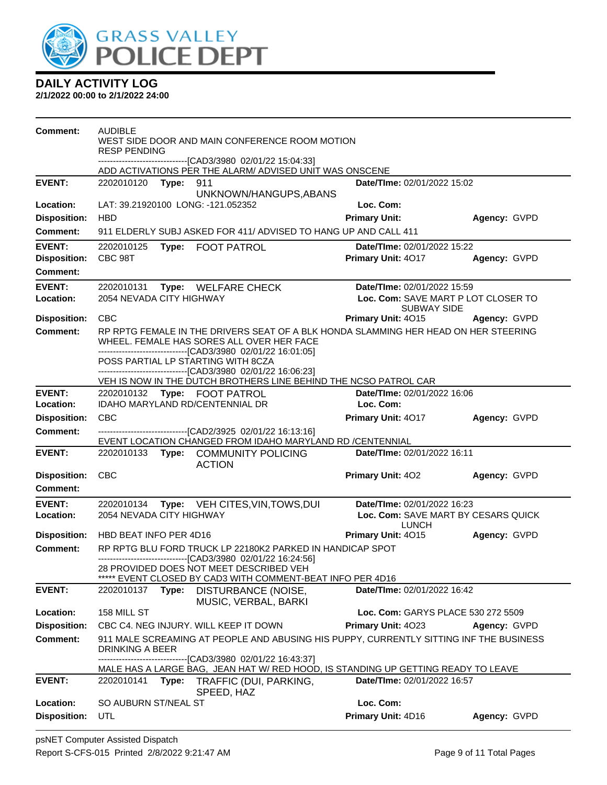

| <b>Comment:</b>                        | <b>AUDIBLE</b><br><b>RESP PENDING</b> |       | WEST SIDE DOOR AND MAIN CONFERENCE ROOM MOTION<br>-------------------------------[CAD3/3980 02/01/22 15:04:33]                                                  |                                           |              |
|----------------------------------------|---------------------------------------|-------|-----------------------------------------------------------------------------------------------------------------------------------------------------------------|-------------------------------------------|--------------|
|                                        |                                       |       | ADD ACTIVATIONS PER THE ALARM/ ADVISED UNIT WAS ONSCENE                                                                                                         |                                           |              |
| <b>EVENT:</b>                          | 2202010120 Type: 911                  |       | UNKNOWN/HANGUPS, ABANS                                                                                                                                          | Date/TIme: 02/01/2022 15:02               |              |
| Location:                              | LAT: 39.21920100 LONG: -121.052352    |       |                                                                                                                                                                 | Loc. Com:                                 |              |
| <b>Disposition:</b>                    | <b>HBD</b>                            |       |                                                                                                                                                                 | <b>Primary Unit:</b>                      | Agency: GVPD |
| Comment:                               |                                       |       | 911 ELDERLY SUBJ ASKED FOR 411/ ADVISED TO HANG UP AND CALL 411                                                                                                 |                                           |              |
| <b>EVENT:</b>                          | 2202010125                            |       | Type: FOOT PATROL                                                                                                                                               | Date/TIme: 02/01/2022 15:22               |              |
| <b>Disposition:</b>                    | CBC 98T                               |       |                                                                                                                                                                 | <b>Primary Unit: 4017</b>                 | Agency: GVPD |
| Comment:                               |                                       |       |                                                                                                                                                                 |                                           |              |
| <b>EVENT:</b>                          |                                       |       | 2202010131 Type: WELFARE CHECK                                                                                                                                  | Date/TIme: 02/01/2022 15:59               |              |
| <b>Location:</b>                       | 2054 NEVADA CITY HIGHWAY              |       |                                                                                                                                                                 | Loc. Com: SAVE MART P LOT CLOSER TO       |              |
|                                        | <b>CBC</b>                            |       |                                                                                                                                                                 | SUBWAY SIDE<br>Primary Unit: 4015         |              |
| <b>Disposition:</b><br><b>Comment:</b> |                                       |       | RP RPTG FEMALE IN THE DRIVERS SEAT OF A BLK HONDA SLAMMING HER HEAD ON HER STEERING                                                                             |                                           | Agency: GVPD |
|                                        |                                       |       | WHEEL. FEMALE HAS SORES ALL OVER HER FACE<br>--------------------------------[CAD3/3980 02/01/22 16:01:05]                                                      |                                           |              |
|                                        |                                       |       | POSS PARTIAL LP STARTING WITH 8CZA                                                                                                                              |                                           |              |
|                                        |                                       |       | -------------------------------[CAD3/3980 02/01/22 16:06:23]<br>VEH IS NOW IN THE DUTCH BROTHERS LINE BEHIND THE NCSO PATROL CAR                                |                                           |              |
| <b>EVENT:</b>                          |                                       |       | 2202010132 Type: FOOT PATROL                                                                                                                                    | Date/TIme: 02/01/2022 16:06               |              |
| Location:                              |                                       |       | IDAHO MARYLAND RD/CENTENNIAL DR                                                                                                                                 | Loc. Com:                                 |              |
| <b>Disposition:</b>                    | <b>CBC</b>                            |       |                                                                                                                                                                 | Primary Unit: 4017                        | Agency: GVPD |
| <b>Comment:</b>                        |                                       |       | --------------------------------[CAD2/3925 02/01/22 16:13:16]                                                                                                   |                                           |              |
|                                        |                                       |       | EVENT LOCATION CHANGED FROM IDAHO MARYLAND RD /CENTENNIAL                                                                                                       |                                           |              |
| <b>EVENT:</b>                          |                                       |       | 2202010133 Type: COMMUNITY POLICING<br><b>ACTION</b>                                                                                                            | Date/TIme: 02/01/2022 16:11               |              |
| <b>Disposition:</b>                    | <b>CBC</b>                            |       |                                                                                                                                                                 | <b>Primary Unit: 402</b>                  | Agency: GVPD |
| <b>Comment:</b>                        |                                       |       |                                                                                                                                                                 |                                           |              |
| <b>EVENT:</b>                          | 2202010134                            |       | Type: VEH CITES, VIN, TOWS, DUI                                                                                                                                 | Date/TIme: 02/01/2022 16:23               |              |
| Location:                              | 2054 NEVADA CITY HIGHWAY              |       |                                                                                                                                                                 | Loc. Com: SAVE MART BY CESARS QUICK       |              |
| <b>Disposition:</b>                    | HBD BEAT INFO PER 4D16                |       |                                                                                                                                                                 | <b>LUNCH</b><br><b>Primary Unit: 4015</b> | Agency: GVPD |
| <b>Comment:</b>                        |                                       |       | RP RPTG BLU FORD TRUCK LP 22180K2 PARKED IN HANDICAP SPOT                                                                                                       |                                           |              |
|                                        |                                       |       | -------------------------------[CAD3/3980_02/01/22 16:24:56]<br>28 PROVIDED DOES NOT MEET DESCRIBED VEH<br>EVENT CLOSED BY CAD3 WITH COMMENT-BEAT INFO PER 4D16 |                                           |              |
| <b>EVENT:</b>                          | 2202010137                            | Type: | DISTURBANCE (NOISE,<br>MUSIC, VERBAL, BARKI                                                                                                                     | Date/TIme: 02/01/2022 16:42               |              |
| Location:                              | 158 MILL ST                           |       |                                                                                                                                                                 | Loc. Com: GARYS PLACE 530 272 5509        |              |
| <b>Disposition:</b>                    |                                       |       | CBC C4. NEG INJURY. WILL KEEP IT DOWN                                                                                                                           | Primary Unit: 4023                        | Agency: GVPD |
| <b>Comment:</b>                        | DRINKING A BEER                       |       | 911 MALE SCREAMING AT PEOPLE AND ABUSING HIS PUPPY, CURRENTLY SITTING INF THE BUSINESS                                                                          |                                           |              |
|                                        |                                       |       | ------[CAD3/3980 02/01/22 16:43:37]<br>MALE HAS A LARGE BAG, JEAN HAT W/ RED HOOD, IS STANDING UP GETTING READY TO LEAVE                                        |                                           |              |
| <b>EVENT:</b>                          | 2202010141                            | Type: | TRAFFIC (DUI, PARKING,<br>SPEED, HAZ                                                                                                                            | Date/TIme: 02/01/2022 16:57               |              |
| <b>Location:</b>                       | SO AUBURN ST/NEAL ST                  |       |                                                                                                                                                                 | Loc. Com:                                 |              |
| <b>Disposition:</b>                    | <b>UTL</b>                            |       |                                                                                                                                                                 | Primary Unit: 4D16                        | Agency: GVPD |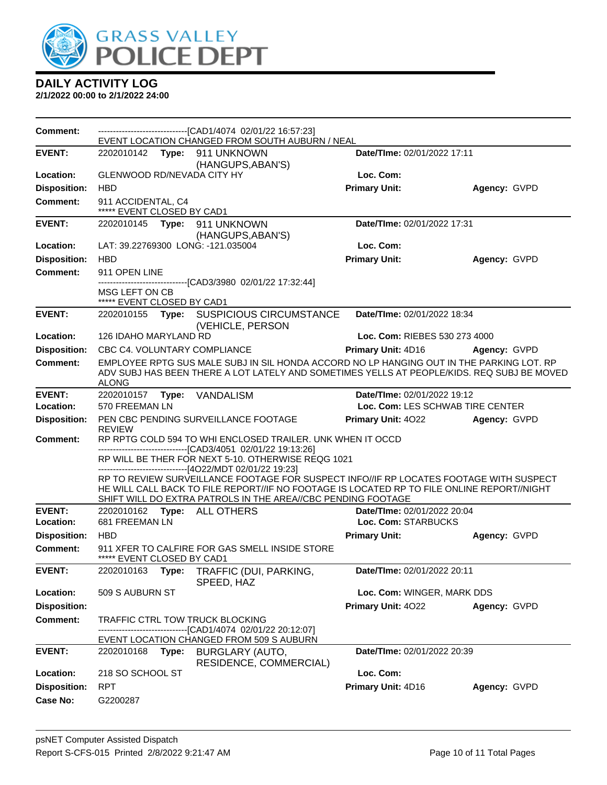

| Comment:                               | --------------------------------[CAD1/4074_02/01/22 16:57:23]<br>EVENT LOCATION CHANGED FROM SOUTH AUBURN / NEAL                                                                                                                                                                                       |                                  |              |
|----------------------------------------|--------------------------------------------------------------------------------------------------------------------------------------------------------------------------------------------------------------------------------------------------------------------------------------------------------|----------------------------------|--------------|
| <b>EVENT:</b>                          | 2202010142 Type: 911 UNKNOWN                                                                                                                                                                                                                                                                           | Date/TIme: 02/01/2022 17:11      |              |
| Location:                              | (HANGUPS, ABAN'S)<br>GLENWOOD RD/NEVADA CITY HY                                                                                                                                                                                                                                                        | Loc. Com:                        |              |
| <b>Disposition:</b>                    | <b>HBD</b>                                                                                                                                                                                                                                                                                             | <b>Primary Unit:</b>             | Agency: GVPD |
| <b>Comment:</b>                        | 911 ACCIDENTAL, C4<br>***** EVENT CLOSED BY CAD1                                                                                                                                                                                                                                                       |                                  |              |
| <b>EVENT:</b>                          | 2202010145<br>Type: 911 UNKNOWN                                                                                                                                                                                                                                                                        | Date/TIme: 02/01/2022 17:31      |              |
|                                        | (HANGUPS, ABAN'S)                                                                                                                                                                                                                                                                                      |                                  |              |
| Location:                              | LAT: 39.22769300 LONG: -121.035004                                                                                                                                                                                                                                                                     | Loc. Com:                        |              |
| <b>Disposition:</b>                    | <b>HBD</b>                                                                                                                                                                                                                                                                                             | <b>Primary Unit:</b>             | Agency: GVPD |
| <b>Comment:</b>                        | 911 OPEN LINE<br>-------[CAD3/3980_02/01/22 17:32:44]                                                                                                                                                                                                                                                  |                                  |              |
|                                        | MSG LEFT ON CB<br>***** EVENT CLOSED BY CAD1                                                                                                                                                                                                                                                           |                                  |              |
| <b>EVENT:</b>                          | Type: SUSPICIOUS CIRCUMSTANCE<br>2202010155<br>(VEHICLE, PERSON                                                                                                                                                                                                                                        | Date/TIme: 02/01/2022 18:34      |              |
| Location:                              | 126 IDAHO MARYLAND RD                                                                                                                                                                                                                                                                                  | Loc. Com: RIEBES 530 273 4000    |              |
| <b>Disposition:</b>                    | CBC C4. VOLUNTARY COMPLIANCE                                                                                                                                                                                                                                                                           | Primary Unit: 4D16               | Agency: GVPD |
| <b>Comment:</b>                        | EMPLOYEE RPTG SUS MALE SUBJ IN SIL HONDA ACCORD NO LP HANGING OUT IN THE PARKING LOT. RP<br>ADV SUBJ HAS BEEN THERE A LOT LATELY AND SOMETIMES YELLS AT PEOPLE/KIDS. REQ SUBJ BE MOVED<br><b>ALONG</b>                                                                                                 |                                  |              |
| <b>EVENT:</b>                          | 2202010157 Type: VANDALISM                                                                                                                                                                                                                                                                             | Date/TIme: 02/01/2022 19:12      |              |
| Location:                              | 570 FREEMAN LN                                                                                                                                                                                                                                                                                         | Loc. Com: LES SCHWAB TIRE CENTER |              |
| <b>Disposition:</b>                    | PEN CBC PENDING SURVEILLANCE FOOTAGE                                                                                                                                                                                                                                                                   |                                  |              |
|                                        |                                                                                                                                                                                                                                                                                                        | <b>Primary Unit: 4022</b>        | Agency: GVPD |
| Comment:                               | <b>REVIEW</b><br>RP RPTG COLD 594 TO WHI ENCLOSED TRAILER. UNK WHEN IT OCCD                                                                                                                                                                                                                            |                                  |              |
|                                        | ------------------------[CAD3/4051_02/01/22 19:13:26]<br>RP WILL BE THER FOR NEXT 5-10. OTHERWISE REQG 1021                                                                                                                                                                                            |                                  |              |
|                                        | ----------------------[4O22/MDT 02/01/22 19:23]<br>RP TO REVIEW SURVEILLANCE FOOTAGE FOR SUSPECT INFO/IF RP LOCATES FOOTAGE WITH SUSPECT<br>HE WILL CALL BACK TO FILE REPORT//IF NO FOOTAGE IS LOCATED RP TO FILE ONLINE REPORT//NIGHT<br>SHIFT WILL DO EXTRA PATROLS IN THE AREA//CBC PENDING FOOTAGE |                                  |              |
| <b>EVENT:</b>                          | 2202010162 Type: ALL OTHERS                                                                                                                                                                                                                                                                            | Date/TIme: 02/01/2022 20:04      |              |
| Location:                              | 681 FREEMAN LN                                                                                                                                                                                                                                                                                         | Loc. Com: STARBUCKS              |              |
| <b>Disposition:</b>                    | <b>HBD</b>                                                                                                                                                                                                                                                                                             | <b>Primary Unit:</b>             | Agency: GVPD |
| Comment:                               | 911 XFER TO CALFIRE FOR GAS SMELL INSIDE STORE<br>***** EVENT CLOSED BY CAD1                                                                                                                                                                                                                           |                                  |              |
| <b>EVENT:</b>                          | 2202010163<br>TRAFFIC (DUI, PARKING,<br>Type:<br>SPEED, HAZ                                                                                                                                                                                                                                            | Date/TIme: 02/01/2022 20:11      |              |
| Location:                              | 509 S AUBURN ST                                                                                                                                                                                                                                                                                        | Loc. Com: WINGER, MARK DDS       |              |
| <b>Disposition:</b>                    |                                                                                                                                                                                                                                                                                                        | Primary Unit: 4022               | Agency: GVPD |
| <b>Comment:</b>                        | TRAFFIC CTRL TOW TRUCK BLOCKING<br>-------------------[CAD1/4074_02/01/22_20:12:07]                                                                                                                                                                                                                    |                                  |              |
|                                        | EVENT LOCATION CHANGED FROM 509 S AUBURN                                                                                                                                                                                                                                                               |                                  |              |
| <b>EVENT:</b>                          | Type:<br>2202010168<br>BURGLARY (AUTO,                                                                                                                                                                                                                                                                 | Date/TIme: 02/01/2022 20:39      |              |
| Location:                              | RESIDENCE, COMMERCIAL)<br>218 SO SCHOOL ST                                                                                                                                                                                                                                                             | Loc. Com:                        |              |
|                                        | <b>RPT</b>                                                                                                                                                                                                                                                                                             |                                  |              |
| <b>Disposition:</b><br><b>Case No:</b> | G2200287                                                                                                                                                                                                                                                                                               | Primary Unit: 4D16               | Agency: GVPD |